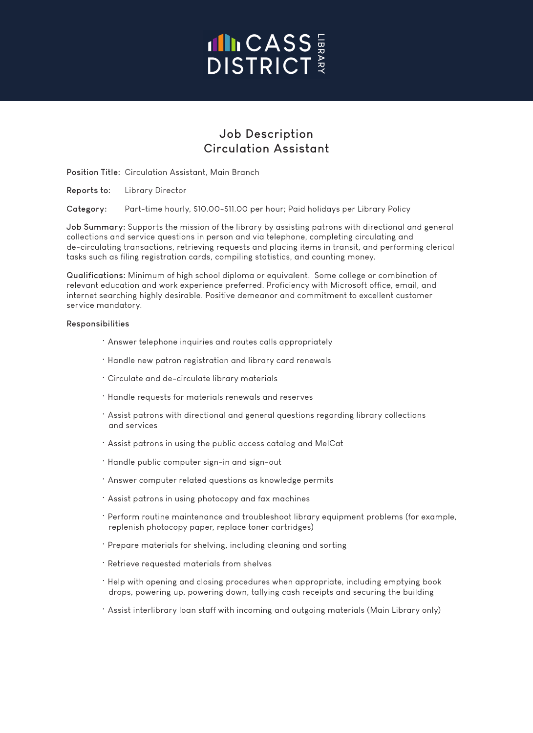## **INCASS**

### **Job Description Circulation Assistant**

**Position Title:** Circulation Assistant, Main Branch

**Reports to:** Library Director

**Category:** Part-time hourly, \$10.00-\$11.00 per hour; Paid holidays per Library Policy

**Job Summary:** Supports the mission of the library by assisting patrons with directional and general collections and service questions in person and via telephone, completing circulating and de-circulating transactions, retrieving requests and placing items in transit, and performing clerical tasks such as filing registration cards, compiling statistics, and counting money.

**Qualifications:** Minimum of high school diploma or equivalent. Some college or combination of relevant education and work experience preferred. Proficiency with Microsoft office, email, and internet searching highly desirable. Positive demeanor and commitment to excellent customer service mandatory.

#### **Responsibilities**

- Answer telephone inquiries and routes calls appropriately
- Handle new patron registration and library card renewals
- Circulate and de-circulate library materials
- Handle requests for materials renewals and reserves
- Assist patrons with directional and general questions regarding library collections and services
- Assist patrons in using the public access catalog and MelCat
- Handle public computer sign-in and sign-out
- Answer computer related questions as knowledge permits
- Assist patrons in using photocopy and fax machines
- Perform routine maintenance and troubleshoot library equipment problems (for example, replenish photocopy paper, replace toner cartridges)
- Prepare materials for shelving, including cleaning and sorting
- Retrieve requested materials from shelves
- Help with opening and closing procedures when appropriate, including emptying book drops, powering up, powering down, tallying cash receipts and securing the building
- Assist interlibrary loan staff with incoming and outgoing materials (Main Library only)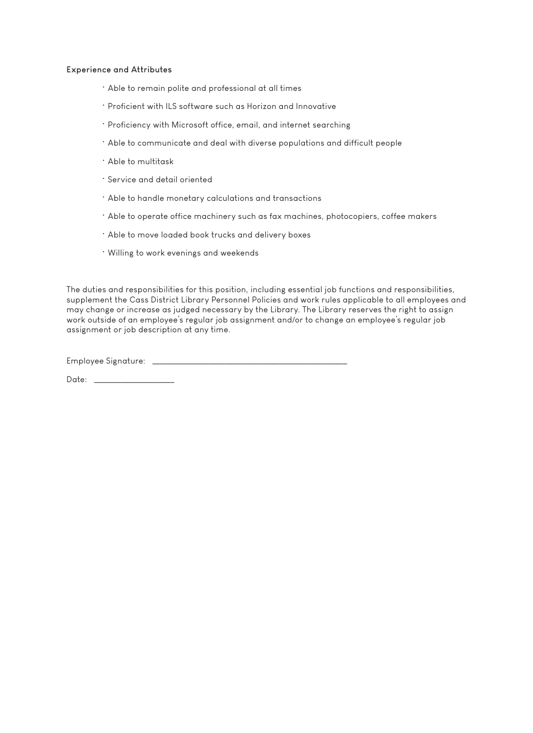#### **Experience and Attributes**

- Able to remain polite and professional at all times
- Proficient with ILS software such as Horizon and Innovative
- Proficiency with Microsoft office, email, and internet searching
- Able to communicate and deal with diverse populations and difficult people
- Able to multitask
- Service and detail oriented
- Able to handle monetary calculations and transactions
- Able to operate office machinery such as fax machines, photocopiers, coffee makers
- Able to move loaded book trucks and delivery boxes
- Willing to work evenings and weekends

The duties and responsibilities for this position, including essential job functions and responsibilities, supplement the Cass District Library Personnel Policies and work rules applicable to all employees and may change or increase as judged necessary by the Library. The Library reserves the right to assign work outside of an employee's regular job assignment and/or to change an employee's regular job assignment or job description at any time.

Employee Signature: \_\_\_\_\_\_\_\_\_\_\_\_\_\_\_\_\_\_\_\_\_\_\_\_\_\_\_\_\_\_\_\_\_\_\_\_\_\_\_\_\_\_\_\_\_\_\_\_\_\_\_

Date: \_\_\_\_\_\_\_\_\_\_\_\_\_\_\_\_\_\_\_\_\_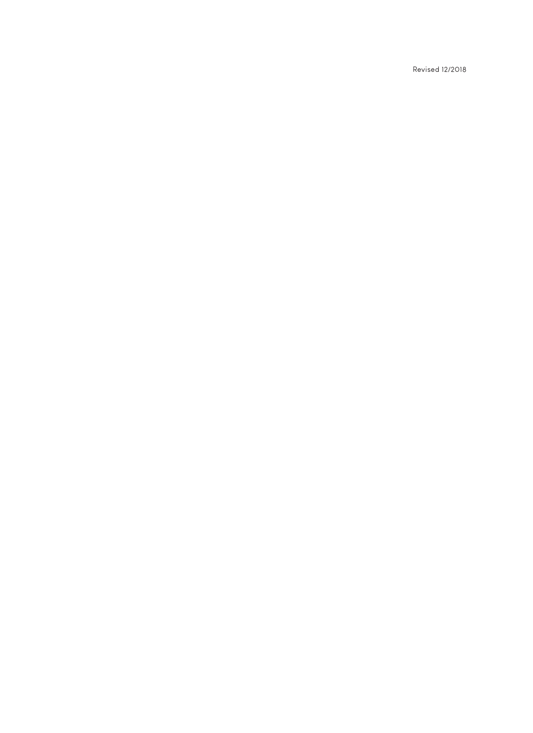Revised 12/2018